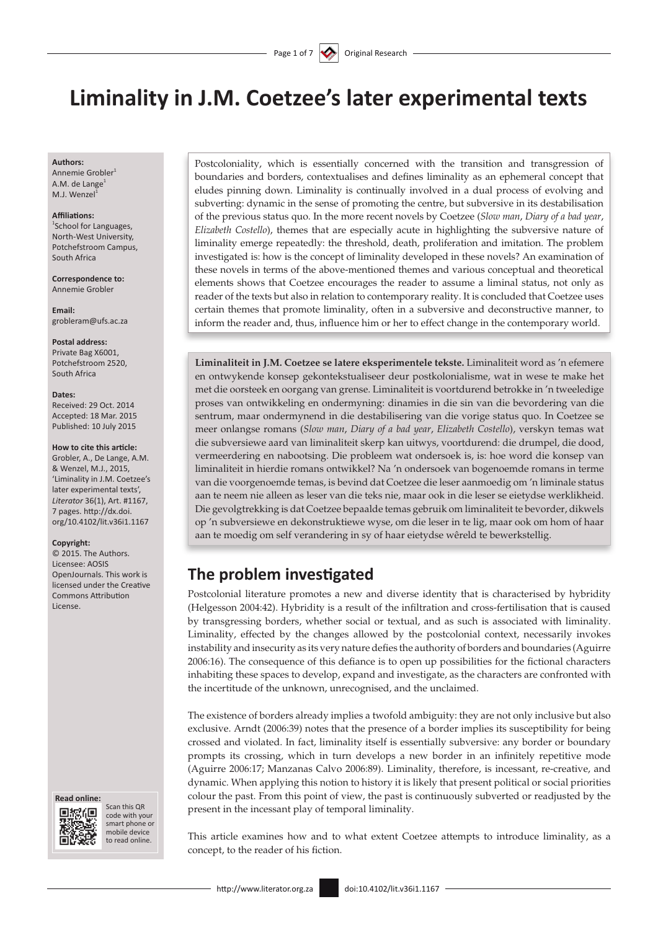# **Liminality in J.M. Coetzee's later experimental texts**

#### **Authors:**

Annemie Grobler<sup>1</sup> A.M. de Lange $<sup>1</sup>$ </sup> M.J. Wenzel<sup>1</sup>

#### **Affiliations:**

1 School for Languages, North-West University, Potchefstroom Campus, South Africa

**Correspondence to:** Annemie Grobler

**Email:**  [grobleram@ufs.ac.za](mailto:grobleram@ufs.ac.za)

**Postal address:** Private Bag X6001, Potchefstroom 2520, South Africa

#### **Dates:**

Received: 29 Oct. 2014 Accepted: 18 Mar. 2015 Published: 10 July 2015

#### **How to cite this article:**

Grobler, A., De Lange, A.M. & Wenzel, M.J., 2015, 'Liminality in J.M. Coetzee's later experimental texts', *Literator* 36(1), Art. #1167, 7 pages. [http://dx.doi.](http://dx.doi.org/10.4102/lit.v36i1.1167) [org/10.4102/lit.v36i1.1167](http://dx.doi.org/10.4102/lit.v36i1.1167)

#### **Copyright:**

© 2015. The Authors. Licensee: AOSIS OpenJournals. This work is licensed under the Creative Commons Attribution License.





Scan this QR code with your smart phone or mobile device to read online.

Postcoloniality, which is essentially concerned with the transition and transgression of boundaries and borders, contextualises and defines liminality as an ephemeral concept that eludes pinning down. Liminality is continually involved in a dual process of evolving and subverting: dynamic in the sense of promoting the centre, but subversive in its destabilisation of the previous status quo. In the more recent novels by Coetzee (*Slow man*, *Diary of a bad year*, *Elizabeth Costello*), themes that are especially acute in highlighting the subversive nature of liminality emerge repeatedly: the threshold, death, proliferation and imitation. The problem investigated is: how is the concept of liminality developed in these novels? An examination of these novels in terms of the above-mentioned themes and various conceptual and theoretical elements shows that Coetzee encourages the reader to assume a liminal status, not only as reader of the texts but also in relation to contemporary reality. It is concluded that Coetzee uses certain themes that promote liminality, often in a subversive and deconstructive manner, to inform the reader and, thus, influence him or her to effect change in the contemporary world.

**Liminaliteit in J.M. Coetzee se latere eksperimentele tekste.** Liminaliteit word as 'n efemere en ontwykende konsep gekontekstualiseer deur postkolonialisme, wat in wese te make het met die oorsteek en oorgang van grense. Liminaliteit is voortdurend betrokke in 'n tweeledige proses van ontwikkeling en ondermyning: dinamies in die sin van die bevordering van die sentrum, maar ondermynend in die destabilisering van die vorige status quo. In Coetzee se meer onlangse romans (*Slow man*, *Diary of a bad year*, *Elizabeth Costello*), verskyn temas wat die subversiewe aard van liminaliteit skerp kan uitwys, voortdurend: die drumpel, die dood, vermeerdering en nabootsing. Die probleem wat ondersoek is, is: hoe word die konsep van liminaliteit in hierdie romans ontwikkel? Na 'n ondersoek van bogenoemde romans in terme van die voorgenoemde temas, is bevind dat Coetzee die leser aanmoedig om 'n liminale status aan te neem nie alleen as leser van die teks nie, maar ook in die leser se eietydse werklikheid. Die gevolgtrekking is dat Coetzee bepaalde temas gebruik om liminaliteit te bevorder, dikwels op 'n subversiewe en dekonstruktiewe wyse, om die leser in te lig, maar ook om hom of haar aan te moedig om self verandering in sy of haar eietydse wêreld te bewerkstellig.

## **The problem investigated**

Postcolonial literature promotes a new and diverse identity that is characterised by hybridity (Helgesson 2004:42). Hybridity is a result of the infiltration and cross-fertilisation that is caused by transgressing borders, whether social or textual, and as such is associated with liminality. Liminality, effected by the changes allowed by the postcolonial context, necessarily invokes instability and insecurity as its very nature defies the authority of borders and boundaries (Aguirre 2006:16). The consequence of this defiance is to open up possibilities for the fictional characters inhabiting these spaces to develop, expand and investigate, as the characters are confronted with the incertitude of the unknown, unrecognised, and the unclaimed.

The existence of borders already implies a twofold ambiguity: they are not only inclusive but also exclusive. Arndt (2006:39) notes that the presence of a border implies its susceptibility for being crossed and violated. In fact, liminality itself is essentially subversive: any border or boundary prompts its crossing, which in turn develops a new border in an infinitely repetitive mode (Aguirre 2006:17; Manzanas Calvo 2006:89). Liminality, therefore, is incessant, re-creative, and dynamic. When applying this notion to history it is likely that present political or social priorities colour the past. From this point of view, the past is continuously subverted or readjusted by the present in the incessant play of temporal liminality.

This article examines how and to what extent Coetzee attempts to introduce liminality, as a concept, to the reader of his fiction.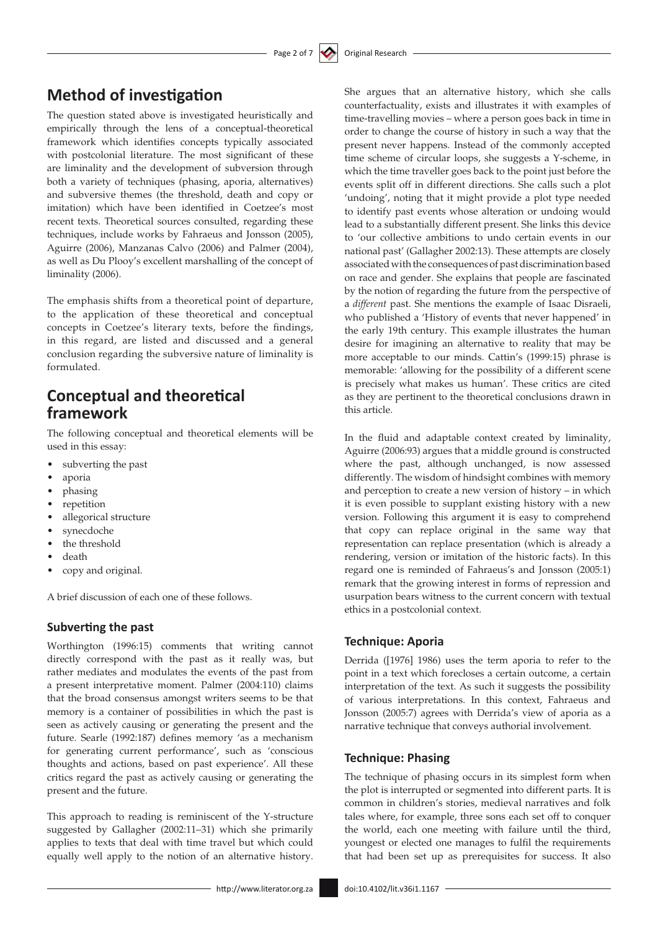## **Method of investigation**

The question stated above is investigated heuristically and empirically through the lens of a conceptual-theoretical framework which identifies concepts typically associated with postcolonial literature. The most significant of these are liminality and the development of subversion through both a variety of techniques (phasing, aporia, alternatives) and subversive themes (the threshold, death and copy or imitation) which have been identified in Coetzee's most recent texts. Theoretical sources consulted, regarding these techniques, include works by Fahraeus and Jonsson (2005), Aguirre (2006), Manzanas Calvo (2006) and Palmer (2004), as well as Du Plooy's excellent marshalling of the concept of liminality (2006).

The emphasis shifts from a theoretical point of departure, to the application of these theoretical and conceptual concepts in Coetzee's literary texts, before the findings, in this regard, are listed and discussed and a general conclusion regarding the subversive nature of liminality is formulated.

## **Conceptual and theoretical framework**

The following conceptual and theoretical elements will be used in this essay:

- subverting the past
- aporia
- phasing
- repetition
- allegorical structure
- synecdoche
- the threshold
- death
- copy and original.

A brief discussion of each one of these follows.

### **Subverting the past**

Worthington (1996:15) comments that writing cannot directly correspond with the past as it really was, but rather mediates and modulates the events of the past from a present interpretative moment. Palmer (2004:110) claims that the broad consensus amongst writers seems to be that memory is a container of possibilities in which the past is seen as actively causing or generating the present and the future. Searle (1992:187) defines memory 'as a mechanism for generating current performance', such as 'conscious thoughts and actions, based on past experience'. All these critics regard the past as actively causing or generating the present and the future.

This approach to reading is reminiscent of the Y-structure suggested by Gallagher (2002:11–31) which she primarily applies to texts that deal with time travel but which could equally well apply to the notion of an alternative history.

She argues that an alternative history, which she calls counterfactuality, exists and illustrates it with examples of time-travelling movies – where a person goes back in time in order to change the course of history in such a way that the present never happens. Instead of the commonly accepted time scheme of circular loops, she suggests a Y-scheme, in which the time traveller goes back to the point just before the events split off in different directions. She calls such a plot 'undoing', noting that it might provide a plot type needed to identify past events whose alteration or undoing would lead to a substantially different present. She links this device to 'our collective ambitions to undo certain events in our national past' (Gallagher 2002:13). These attempts are closely associated with the consequences of past discrimination based on race and gender. She explains that people are fascinated by the notion of regarding the future from the perspective of a *different* past. She mentions the example of Isaac Disraeli, who published a 'History of events that never happened' in the early 19th century. This example illustrates the human desire for imagining an alternative to reality that may be more acceptable to our minds. Cattin's (1999:15) phrase is memorable: 'allowing for the possibility of a different scene is precisely what makes us human'. These critics are cited as they are pertinent to the theoretical conclusions drawn in this article.

In the fluid and adaptable context created by liminality, Aguirre (2006:93) argues that a middle ground is constructed where the past, although unchanged, is now assessed differently. The wisdom of hindsight combines with memory and perception to create a new version of history – in which it is even possible to supplant existing history with a new version. Following this argument it is easy to comprehend that copy can replace original in the same way that representation can replace presentation (which is already a rendering, version or imitation of the historic facts). In this regard one is reminded of Fahraeus's and Jonsson (2005:1) remark that the growing interest in forms of repression and usurpation bears witness to the current concern with textual ethics in a postcolonial context.

#### **Technique: Aporia**

Derrida ([1976] 1986) uses the term aporia to refer to the point in a text which forecloses a certain outcome, a certain interpretation of the text. As such it suggests the possibility of various interpretations. In this context, Fahraeus and Jonsson (2005:7) agrees with Derrida's view of aporia as a narrative technique that conveys authorial involvement.

#### **Technique: Phasing**

The technique of phasing occurs in its simplest form when the plot is interrupted or segmented into different parts. It is common in children's stories, medieval narratives and folk tales where, for example, three sons each set off to conquer the world, each one meeting with failure until the third, youngest or elected one manages to fulfil the requirements that had been set up as prerequisites for success. It also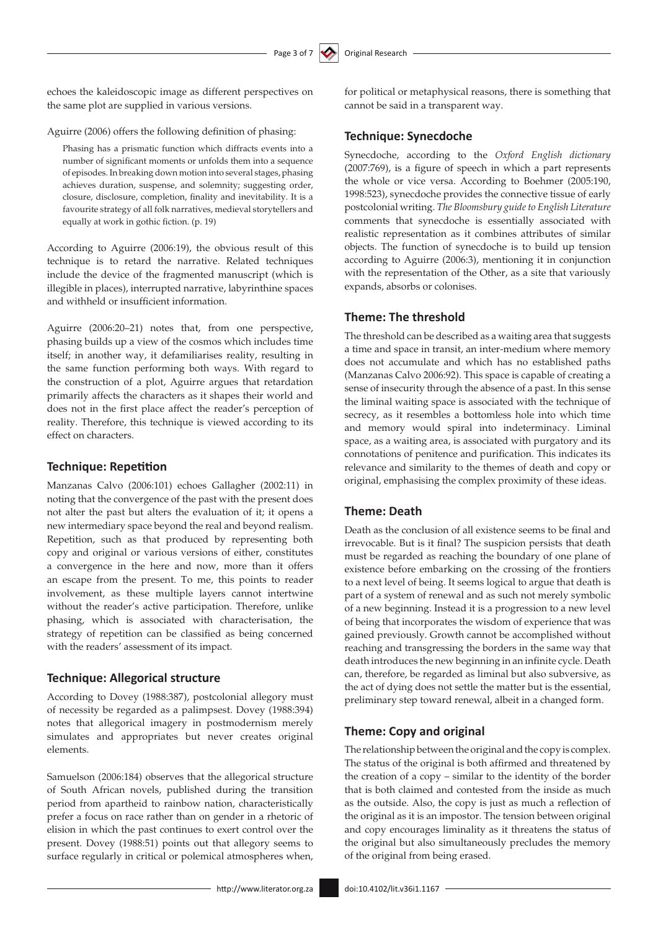echoes the kaleidoscopic image as different perspectives on the same plot are supplied in various versions.

Aguirre (2006) offers the following definition of phasing:

Phasing has a prismatic function which diffracts events into a number of significant moments or unfolds them into a sequence of episodes. In breaking down motion into several stages, phasing achieves duration, suspense, and solemnity; suggesting order, closure, disclosure, completion, finality and inevitability. It is a favourite strategy of all folk narratives, medieval storytellers and equally at work in gothic fiction. (p. 19)

According to Aguirre (2006:19), the obvious result of this technique is to retard the narrative. Related techniques include the device of the fragmented manuscript (which is illegible in places), interrupted narrative, labyrinthine spaces and withheld or insufficient information.

Aguirre (2006:20–21) notes that, from one perspective, phasing builds up a view of the cosmos which includes time itself; in another way, it defamiliarises reality, resulting in the same function performing both ways. With regard to the construction of a plot, Aguirre argues that retardation primarily affects the characters as it shapes their world and does not in the first place affect the reader's perception of reality. Therefore, this technique is viewed according to its effect on characters.

#### **Technique: Repetition**

Manzanas Calvo (2006:101) echoes Gallagher (2002:11) in noting that the convergence of the past with the present does not alter the past but alters the evaluation of it; it opens a new intermediary space beyond the real and beyond realism. Repetition, such as that produced by representing both copy and original or various versions of either, constitutes a convergence in the here and now, more than it offers an escape from the present. To me, this points to reader involvement, as these multiple layers cannot intertwine without the reader's active participation. Therefore, unlike phasing, which is associated with characterisation, the strategy of repetition can be classified as being concerned with the readers' assessment of its impact.

#### **Technique: Allegorical structure**

According to Dovey (1988:387), postcolonial allegory must of necessity be regarded as a palimpsest. Dovey (1988:394) notes that allegorical imagery in postmodernism merely simulates and appropriates but never creates original elements.

Samuelson (2006:184) observes that the allegorical structure of South African novels, published during the transition period from apartheid to rainbow nation, characteristically prefer a focus on race rather than on gender in a rhetoric of elision in which the past continues to exert control over the present. Dovey (1988:51) points out that allegory seems to surface regularly in critical or polemical atmospheres when,

for political or metaphysical reasons, there is something that cannot be said in a transparent way.

#### **Technique: Synecdoche**

Synecdoche, according to the *Oxford English dictionary* (2007:769), is a figure of speech in which a part represents the whole or vice versa. According to Boehmer (2005:190, 1998:523), synecdoche provides the connective tissue of early postcolonial writing. *The Bloomsbury guide to English Literature* comments that synecdoche is essentially associated with realistic representation as it combines attributes of similar objects. The function of synecdoche is to build up tension according to Aguirre (2006:3), mentioning it in conjunction with the representation of the Other, as a site that variously expands, absorbs or colonises.

#### **Theme: The threshold**

The threshold can be described as a waiting area that suggests a time and space in transit, an inter-medium where memory does not accumulate and which has no established paths (Manzanas Calvo 2006:92). This space is capable of creating a sense of insecurity through the absence of a past. In this sense the liminal waiting space is associated with the technique of secrecy, as it resembles a bottomless hole into which time and memory would spiral into indeterminacy. Liminal space, as a waiting area, is associated with purgatory and its connotations of penitence and purification. This indicates its relevance and similarity to the themes of death and copy or original, emphasising the complex proximity of these ideas.

#### **Theme: Death**

Death as the conclusion of all existence seems to be final and irrevocable. But is it final? The suspicion persists that death must be regarded as reaching the boundary of one plane of existence before embarking on the crossing of the frontiers to a next level of being. It seems logical to argue that death is part of a system of renewal and as such not merely symbolic of a new beginning. Instead it is a progression to a new level of being that incorporates the wisdom of experience that was gained previously. Growth cannot be accomplished without reaching and transgressing the borders in the same way that death introduces the new beginning in an infinite cycle. Death can, therefore, be regarded as liminal but also subversive, as the act of dying does not settle the matter but is the essential, preliminary step toward renewal, albeit in a changed form.

#### **Theme: Copy and original**

The relationship between the original and the copy is complex. The status of the original is both affirmed and threatened by the creation of a copy – similar to the identity of the border that is both claimed and contested from the inside as much as the outside. Also, the copy is just as much a reflection of the original as it is an impostor. The tension between original and copy encourages liminality as it threatens the status of the original but also simultaneously precludes the memory of the original from being erased.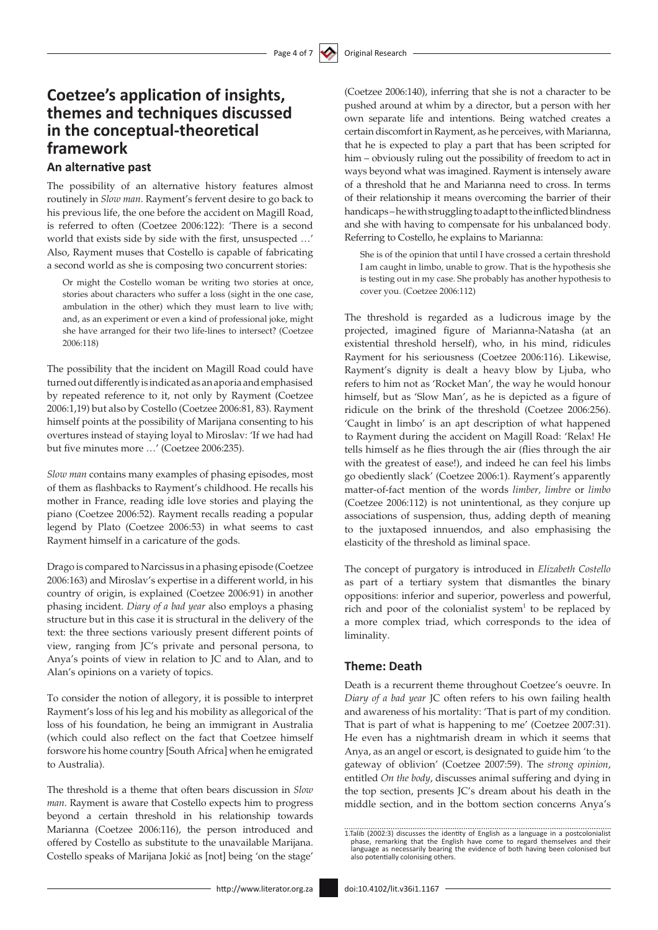## **Coetzee's application of insights, themes and techniques discussed in the conceptual-theoretical framework**

### **An alternative past**

The possibility of an alternative history features almost routinely in *Slow man*. Rayment's fervent desire to go back to his previous life, the one before the accident on Magill Road, is referred to often (Coetzee 2006:122): 'There is a second world that exists side by side with the first, unsuspected …' Also, Rayment muses that Costello is capable of fabricating a second world as she is composing two concurrent stories:

Or might the Costello woman be writing two stories at once, stories about characters who suffer a loss (sight in the one case, ambulation in the other) which they must learn to live with; and, as an experiment or even a kind of professional joke, might she have arranged for their two life-lines to intersect? (Coetzee 2006:118)

The possibility that the incident on Magill Road could have turned out differently is indicated as an aporia and emphasised by repeated reference to it, not only by Rayment (Coetzee 2006:1,19) but also by Costello (Coetzee 2006:81, 83). Rayment himself points at the possibility of Marijana consenting to his overtures instead of staying loyal to Miroslav: 'If we had had but five minutes more …' (Coetzee 2006:235).

*Slow man* contains many examples of phasing episodes, most of them as flashbacks to Rayment's childhood. He recalls his mother in France, reading idle love stories and playing the piano (Coetzee 2006:52). Rayment recalls reading a popular legend by Plato (Coetzee 2006:53) in what seems to cast Rayment himself in a caricature of the gods.

Drago is compared to Narcissus in a phasing episode (Coetzee 2006:163) and Miroslav's expertise in a different world, in his country of origin, is explained (Coetzee 2006:91) in another phasing incident. *Diary of a bad year* also employs a phasing structure but in this case it is structural in the delivery of the text: the three sections variously present different points of view, ranging from JC's private and personal persona, to Anya's points of view in relation to JC and to Alan, and to Alan's opinions on a variety of topics.

To consider the notion of allegory, it is possible to interpret Rayment's loss of his leg and his mobility as allegorical of the loss of his foundation, he being an immigrant in Australia (which could also reflect on the fact that Coetzee himself forswore his home country [South Africa] when he emigrated to Australia).

The threshold is a theme that often bears discussion in *Slow man*. Rayment is aware that Costello expects him to progress beyond a certain threshold in his relationship towards Marianna (Coetzee 2006:116), the person introduced and offered by Costello as substitute to the unavailable Marijana. Costello speaks of Marijana Jokić as [not] being 'on the stage'

(Coetzee 2006:140), inferring that she is not a character to be pushed around at whim by a director, but a person with her own separate life and intentions. Being watched creates a certain discomfort in Rayment, as he perceives, with Marianna, that he is expected to play a part that has been scripted for him – obviously ruling out the possibility of freedom to act in ways beyond what was imagined. Rayment is intensely aware of a threshold that he and Marianna need to cross. In terms of their relationship it means overcoming the barrier of their handicaps – he with struggling to adapt to the inflicted blindness and she with having to compensate for his unbalanced body. Referring to Costello, he explains to Marianna:

She is of the opinion that until I have crossed a certain threshold I am caught in limbo, unable to grow. That is the hypothesis she is testing out in my case. She probably has another hypothesis to cover you. (Coetzee 2006:112)

The threshold is regarded as a ludicrous image by the projected, imagined figure of Marianna-Natasha (at an existential threshold herself), who, in his mind, ridicules Rayment for his seriousness (Coetzee 2006:116). Likewise, Rayment's dignity is dealt a heavy blow by Ljuba, who refers to him not as 'Rocket Man', the way he would honour himself, but as 'Slow Man', as he is depicted as a figure of ridicule on the brink of the threshold (Coetzee 2006:256). 'Caught in limbo' is an apt description of what happened to Rayment during the accident on Magill Road: 'Relax! He tells himself as he flies through the air (flies through the air with the greatest of ease!), and indeed he can feel his limbs go obediently slack' (Coetzee 2006:1). Rayment's apparently matter-of-fact mention of the words *limber, limbre* or *limbo*  (Coetzee 2006:112) is not unintentional, as they conjure up associations of suspension, thus, adding depth of meaning to the juxtaposed innuendos, and also emphasising the elasticity of the threshold as liminal space.

The concept of purgatory is introduced in *Elizabeth Costello* as part of a tertiary system that dismantles the binary oppositions: inferior and superior, powerless and powerful, rich and poor of the colonialist system<sup>1</sup> to be replaced by a more complex triad, which corresponds to the idea of liminality.

#### **Theme: Death**

Death is a recurrent theme throughout Coetzee's oeuvre. In *Diary of a bad year* JC often refers to his own failing health and awareness of his mortality: 'That is part of my condition. That is part of what is happening to me' (Coetzee 2007:31). He even has a nightmarish dream in which it seems that Anya, as an angel or escort, is designated to guide him 'to the gateway of oblivion' (Coetzee 2007:59). The *strong opinion*, entitled *On the body*, discusses animal suffering and dying in the top section, presents JC's dream about his death in the middle section, and in the bottom section concerns Anya's

<sup>1.</sup>Talib (2002:3) discusses the identity of English as a language in a postcolonialist<br>phase, remarking that the English have come to regard themselves and their<br>language as necessarily bearing the evidence of both having b also potentially colonising others.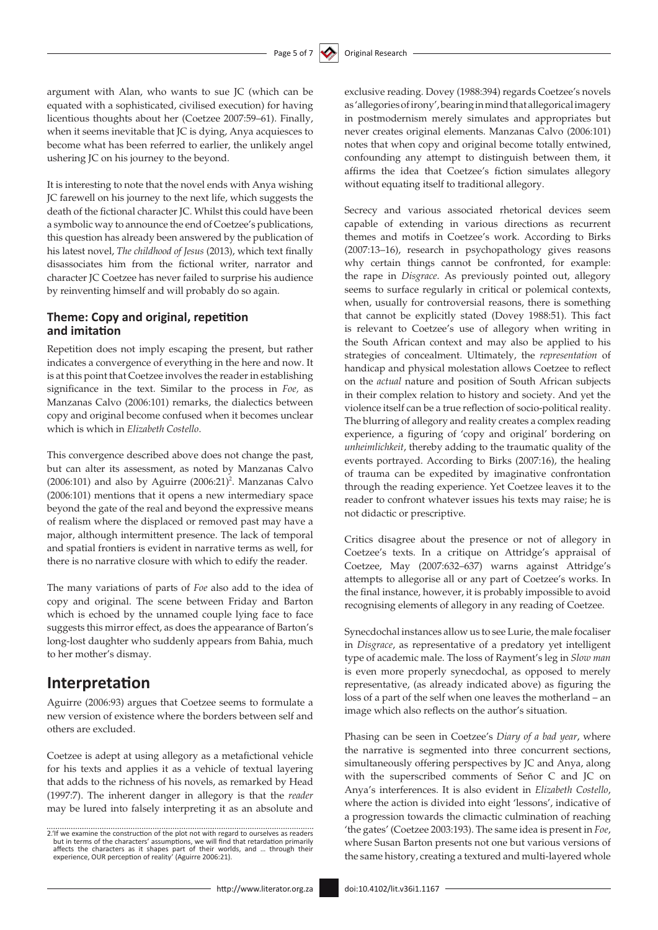argument with Alan, who wants to sue JC (which can be equated with a sophisticated, civilised execution) for having licentious thoughts about her (Coetzee 2007:59–61). Finally, when it seems inevitable that JC is dying, Anya acquiesces to become what has been referred to earlier, the unlikely angel ushering JC on his journey to the beyond.

It is interesting to note that the novel ends with Anya wishing JC farewell on his journey to the next life, which suggests the death of the fictional character JC. Whilst this could have been a symbolic way to announce the end of Coetzee's publications, this question has already been answered by the publication of his latest novel, *The childhood of Jesus* (2013), which text finally disassociates him from the fictional writer, narrator and character JC Coetzee has never failed to surprise his audience by reinventing himself and will probably do so again.

#### **Theme: Copy and original, repetition and imitation**

Repetition does not imply escaping the present, but rather indicates a convergence of everything in the here and now. It is at this point that Coetzee involves the reader in establishing significance in the text. Similar to the process in *Foe,* as Manzanas Calvo (2006:101) remarks, the dialectics between copy and original become confused when it becomes unclear which is which in *Elizabeth Costello*.

This convergence described above does not change the past, but can alter its assessment, as noted by Manzanas Calvo  $(2006:101)$  and also by Aguirre  $(2006:21)^2$ . Manzanas Calvo (2006:101) mentions that it opens a new intermediary space beyond the gate of the real and beyond the expressive means of realism where the displaced or removed past may have a major, although intermittent presence. The lack of temporal and spatial frontiers is evident in narrative terms as well, for there is no narrative closure with which to edify the reader.

The many variations of parts of *Foe* also add to the idea of copy and original. The scene between Friday and Barton which is echoed by the unnamed couple lying face to face suggests this mirror effect, as does the appearance of Barton's long-lost daughter who suddenly appears from Bahia, much to her mother's dismay.

### **Interpretation**

Aguirre (2006:93) argues that Coetzee seems to formulate a new version of existence where the borders between self and others are excluded.

Coetzee is adept at using allegory as a metafictional vehicle for his texts and applies it as a vehicle of textual layering that adds to the richness of his novels, as remarked by Head (1997:7). The inherent danger in allegory is that the *reader*  may be lured into falsely interpreting it as an absolute and

exclusive reading. Dovey (1988:394) regards Coetzee's novels as 'allegories of irony', bearing in mind that allegorical imagery in postmodernism merely simulates and appropriates but never creates original elements. Manzanas Calvo (2006:101) notes that when copy and original become totally entwined, confounding any attempt to distinguish between them, it affirms the idea that Coetzee's fiction simulates allegory without equating itself to traditional allegory.

Secrecy and various associated rhetorical devices seem capable of extending in various directions as recurrent themes and motifs in Coetzee's work. According to Birks (2007:13–16), research in psychopathology gives reasons why certain things cannot be confronted, for example: the rape in *Disgrace*. As previously pointed out, allegory seems to surface regularly in critical or polemical contexts, when, usually for controversial reasons, there is something that cannot be explicitly stated (Dovey 1988:51). This fact is relevant to Coetzee's use of allegory when writing in the South African context and may also be applied to his strategies of concealment. Ultimately, the *representation* of handicap and physical molestation allows Coetzee to reflect on the *actual* nature and position of South African subjects in their complex relation to history and society. And yet the violence itself can be a true reflection of socio-political reality. The blurring of allegory and reality creates a complex reading experience, a figuring of 'copy and original' bordering on *unheimlichkeit*, thereby adding to the traumatic quality of the events portrayed. According to Birks (2007:16), the healing of trauma can be expedited by imaginative confrontation through the reading experience. Yet Coetzee leaves it to the reader to confront whatever issues his texts may raise; he is not didactic or prescriptive.

Critics disagree about the presence or not of allegory in Coetzee's texts. In a critique on Attridge's appraisal of Coetzee, May (2007:632–637) warns against Attridge's attempts to allegorise all or any part of Coetzee's works. In the final instance, however, it is probably impossible to avoid recognising elements of allegory in any reading of Coetzee.

Synecdochal instances allow us to see Lurie, the male focaliser in *Disgrace*, as representative of a predatory yet intelligent type of academic male. The loss of Rayment's leg in *Slow man* is even more properly synecdochal, as opposed to merely representative, (as already indicated above) as figuring the loss of a part of the self when one leaves the motherland – an image which also reflects on the author's situation.

Phasing can be seen in Coetzee's *Diary of a bad year*, where the narrative is segmented into three concurrent sections, simultaneously offering perspectives by JC and Anya, along with the superscribed comments of Señor C and JC on Anya's interferences. It is also evident in *Elizabeth Costello*, where the action is divided into eight 'lessons', indicative of a progression towards the climactic culmination of reaching 'the gates' (Coetzee 2003:193). The same idea is present in *Foe*, where Susan Barton presents not one but various versions of the same history, creating a textured and multi-layered whole

<sup>2.&#</sup>x27;If we examine the construction of the plot not with regard to ourselves as readers<br>but in terms of the characters' assumptions, we will find that retardation primarily<br>affects the characters as it shapes part of their w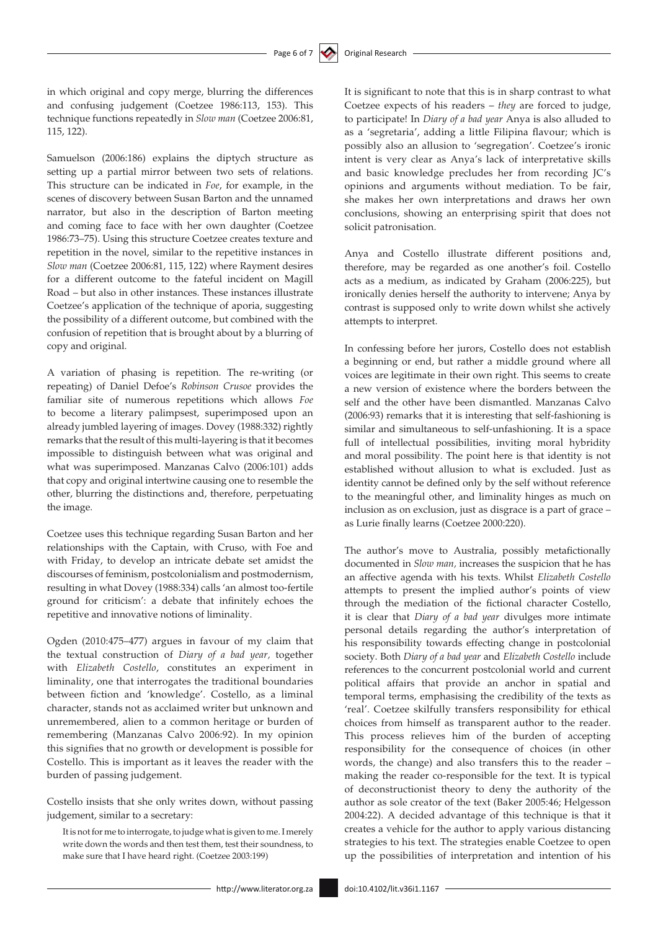in which original and copy merge, blurring the differences and confusing judgement (Coetzee 1986:113, 153). This technique functions repeatedly in *Slow man* (Coetzee 2006:81, 115, 122).

Samuelson (2006:186) explains the diptych structure as setting up a partial mirror between two sets of relations. This structure can be indicated in *Foe*, for example, in the scenes of discovery between Susan Barton and the unnamed narrator, but also in the description of Barton meeting and coming face to face with her own daughter (Coetzee 1986:73–75). Using this structure Coetzee creates texture and repetition in the novel, similar to the repetitive instances in *Slow man* (Coetzee 2006:81, 115, 122) where Rayment desires for a different outcome to the fateful incident on Magill Road – but also in other instances. These instances illustrate Coetzee's application of the technique of aporia, suggesting the possibility of a different outcome, but combined with the confusion of repetition that is brought about by a blurring of copy and original.

A variation of phasing is repetition. The re-writing (or repeating) of Daniel Defoe's *Robinson Crusoe* provides the familiar site of numerous repetitions which allows *Foe* to become a literary palimpsest, superimposed upon an already jumbled layering of images. Dovey (1988:332) rightly remarks that the result of this multi-layering is that it becomes impossible to distinguish between what was original and what was superimposed. Manzanas Calvo (2006:101) adds that copy and original intertwine causing one to resemble the other, blurring the distinctions and, therefore, perpetuating the image.

Coetzee uses this technique regarding Susan Barton and her relationships with the Captain, with Cruso, with Foe and with Friday, to develop an intricate debate set amidst the discourses of feminism, postcolonialism and postmodernism, resulting in what Dovey (1988:334) calls 'an almost too-fertile ground for criticism': a debate that infinitely echoes the repetitive and innovative notions of liminality.

Ogden (2010:475–477) argues in favour of my claim that the textual construction of *Diary of a bad year,* together with *Elizabeth Costello*, constitutes an experiment in liminality, one that interrogates the traditional boundaries between fiction and 'knowledge'. Costello, as a liminal character, stands not as acclaimed writer but unknown and unremembered, alien to a common heritage or burden of remembering (Manzanas Calvo 2006:92). In my opinion this signifies that no growth or development is possible for Costello. This is important as it leaves the reader with the burden of passing judgement.

Costello insists that she only writes down, without passing judgement, similar to a secretary:

It is not for me to interrogate, to judge what is given to me. I merely write down the words and then test them, test their soundness, to make sure that I have heard right. (Coetzee 2003:199)

It is significant to note that this is in sharp contrast to what Coetzee expects of his readers – *they* are forced to judge, to participate! In *Diary of a bad year* Anya is also alluded to as a 'segretaria', adding a little Filipina flavour; which is possibly also an allusion to 'segregation'. Coetzee's ironic intent is very clear as Anya's lack of interpretative skills and basic knowledge precludes her from recording JC's opinions and arguments without mediation. To be fair, she makes her own interpretations and draws her own conclusions, showing an enterprising spirit that does not solicit patronisation.

Anya and Costello illustrate different positions and, therefore, may be regarded as one another's foil. Costello acts as a medium, as indicated by Graham (2006:225), but ironically denies herself the authority to intervene; Anya by contrast is supposed only to write down whilst she actively attempts to interpret.

In confessing before her jurors, Costello does not establish a beginning or end, but rather a middle ground where all voices are legitimate in their own right. This seems to create a new version of existence where the borders between the self and the other have been dismantled. Manzanas Calvo (2006:93) remarks that it is interesting that self-fashioning is similar and simultaneous to self-unfashioning. It is a space full of intellectual possibilities, inviting moral hybridity and moral possibility. The point here is that identity is not established without allusion to what is excluded. Just as identity cannot be defined only by the self without reference to the meaningful other, and liminality hinges as much on inclusion as on exclusion, just as disgrace is a part of grace – as Lurie finally learns (Coetzee 2000:220).

The author's move to Australia, possibly metafictionally documented in *Slow man,* increases the suspicion that he has an affective agenda with his texts. Whilst *Elizabeth Costello* attempts to present the implied author's points of view through the mediation of the fictional character Costello, it is clear that *Diary of a bad year* divulges more intimate personal details regarding the author's interpretation of his responsibility towards effecting change in postcolonial society. Both *Diary of a bad year* and *Elizabeth Costello* include references to the concurrent postcolonial world and current political affairs that provide an anchor in spatial and temporal terms, emphasising the credibility of the texts as 'real'. Coetzee skilfully transfers responsibility for ethical choices from himself as transparent author to the reader. This process relieves him of the burden of accepting responsibility for the consequence of choices (in other words, the change) and also transfers this to the reader – making the reader co-responsible for the text. It is typical of deconstructionist theory to deny the authority of the author as sole creator of the text (Baker 2005:46; Helgesson 2004:22). A decided advantage of this technique is that it creates a vehicle for the author to apply various distancing strategies to his text. The strategies enable Coetzee to open up the possibilities of interpretation and intention of his